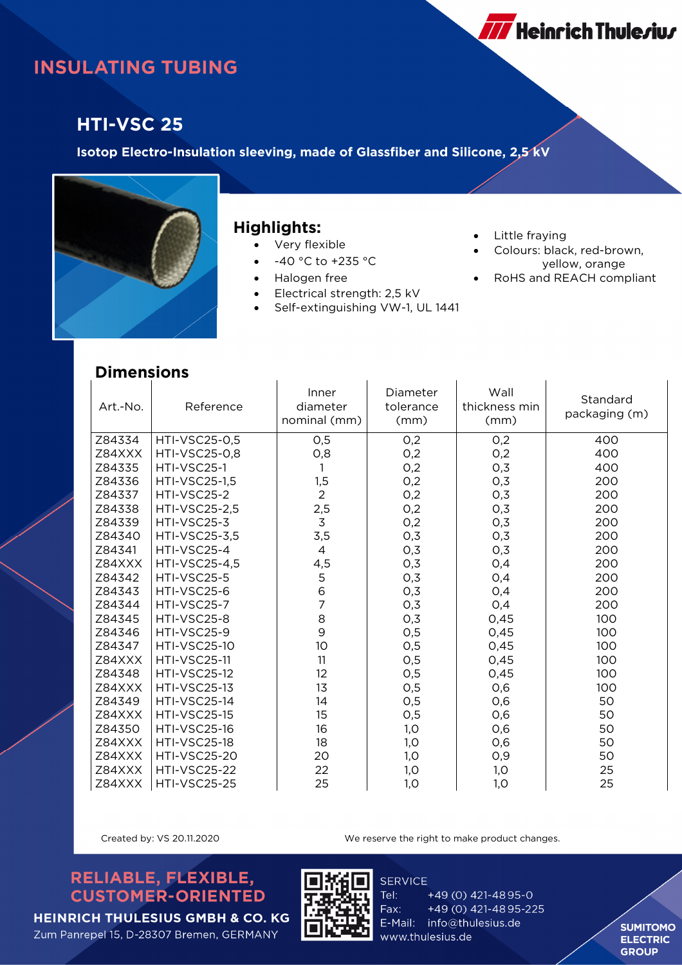# **INSULATING TUBING**

## **HTI-VSC 25**

**Isotop Electro-Insulation sleeving, made of Glassfiber and Silicone, 2,5 kV** 



#### **Highlights:**

- Very flexible
- -40 °C to +235 °C
- Halogen free
- Electrical strength: 2,5 kV
- Self-extinguishing VW-1, UL 1441
- Little fraying
- Colours: black, red-brown, yellow, orange
- RoHS and REACH compliant

**777** Heinrich Thule*r*iu*r* 

### **Dimensions**

| pimensions |                      |                                   |                               |                               |                           |
|------------|----------------------|-----------------------------------|-------------------------------|-------------------------------|---------------------------|
| Art.-No.   | Reference            | Inner<br>diameter<br>nominal (mm) | Diameter<br>tolerance<br>(mm) | Wall<br>thickness min<br>(mm) | Standard<br>packaging (m) |
| Z84334     | HTI-VSC25-0,5        | 0,5                               | 0,2                           | O,2                           | 400                       |
| Z84XXX     | <b>HTI-VSC25-0,8</b> | O, 8                              | 0,2                           | O,2                           | 400                       |
| Z84335     | HTI-VSC25-1          |                                   | 0,2                           | 0,3                           | 400                       |
| Z84336     | <b>HTI-VSC25-1,5</b> | 1,5                               | O,2                           | 0,3                           | 200                       |
| Z84337     | HTI-VSC25-2          | $\overline{2}$                    | 0,2                           | 0,3                           | 200                       |
| Z84338     | <b>HTI-VSC25-2,5</b> | 2,5                               | 0,2                           | 0,3                           | 200                       |
| Z84339     | HTI-VSC25-3          | $\overline{3}$                    | O,2                           | 0,3                           | 200                       |
| Z84340     | <b>HTI-VSC25-3,5</b> | 3,5                               | 0,3                           | 0,3                           | 200                       |
| Z84341     | HTI-VSC25-4          | 4                                 | 0,3                           | 0,3                           | 200                       |
| Z84XXX     | <b>HTI-VSC25-4,5</b> | 4,5                               | O,3                           | 0,4                           | 200                       |
| Z84342     | HTI-VSC25-5          | 5                                 | 0,3                           | 0,4                           | 200                       |
| Z84343     | HTI-VSC25-6          | 6                                 | O,3                           | 0,4                           | 200                       |
| Z84344     | HTI-VSC25-7          | 7                                 | 0,3                           | O,4                           | 200                       |
| Z84345     | HTI-VSC25-8          | 8                                 | 0,3                           | 0,45                          | 100                       |
| Z84346     | HTI-VSC25-9          | 9                                 | 0,5                           | 0,45                          | 100                       |
| Z84347     | <b>HTI-VSC25-10</b>  | 10                                | 0,5                           | 0,45                          | 100                       |
| Z84XXX     | <b>HTI-VSC25-11</b>  | 11                                | 0,5                           | 0,45                          | 100                       |
| Z84348     | <b>HTI-VSC25-12</b>  | 12                                | 0,5                           | 0,45                          | 100                       |
| Z84XXX     | <b>HTI-VSC25-13</b>  | 13                                | O,5                           | 0,6                           | 100                       |
| Z84349     | <b>HTI-VSC25-14</b>  | 14                                | O,5                           | 0,6                           | 50                        |
| Z84XXX     | <b>HTI-VSC25-15</b>  | 15                                | O,5                           | 0,6                           | 50                        |
| Z84350     | <b>HTI-VSC25-16</b>  | 16                                | 1,0                           | 0,6                           | 50                        |
| Z84XXX     | HTI-VSC25-18         | 18                                | 1,0                           | 0,6                           | 50                        |
| Z84XXX     | <b>HTI-VSC25-20</b>  | 20                                | 1,0                           | O,9                           | 50                        |
| Z84XXX     | <b>HTI-VSC25-22</b>  | 22                                | 1,0                           | 1,0                           | 25                        |
| Z84XXX     | <b>HTI-VSC25-25</b>  | 25                                | 1,0                           | 1,0                           | 25                        |

Created by: VS 20.11.2020 We reserve the right to make product changes.

### RELIABLE, FLEXIBLE, **CUSTOMER-ORIENTED**



**SERVICE** Tel: +49 (0) 421-4895-0 Fax: +49 (0) 421-4895-225 E-Mail: info@thulesius.de www.thulesius.de

**SUMITOMO ELECTRIC GROUP** 

**HEINRICH THULESIUS GMBH & CO. KG** Zum Panrepel 15, D-28307 Bremen, GERMANY